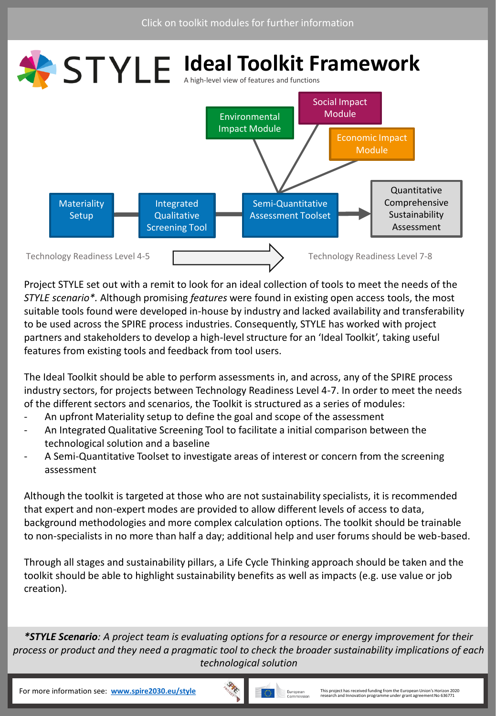<span id="page-0-0"></span>

Project STYLE set out with a remit to look for an ideal collection of tools to meet the needs of the *STYLE scenario\*.* Although promising *features* were found in existing open access tools, the most suitable tools found were developed in-house by industry and lacked availability and transferability to be used across the SPIRE process industries. Consequently, STYLE has worked with project partners and stakeholders to develop a high-level structure for an 'Ideal Toolkit', taking useful features from existing tools and feedback from tool users.

The Ideal Toolkit should be able to perform assessments in, and across, any of the SPIRE process industry sectors, for projects between Technology Readiness Level 4-7. In order to meet the needs of the different sectors and scenarios, the Toolkit is structured as a series of modules:

- An upfront Materiality setup to define the goal and scope of the assessment
- An Integrated Qualitative Screening Tool to facilitate a initial comparison between the technological solution and a baseline
- A Semi-Quantitative Toolset to investigate areas of interest or concern from the screening assessment

Although the toolkit is targeted at those who are not sustainability specialists, it is recommended that expert and non-expert modes are provided to allow different levels of access to data, background methodologies and more complex calculation options. The toolkit should be trainable to non-specialists in no more than half a day; additional help and user forums should be web-based.

Through all stages and sustainability pillars, a Life Cycle Thinking approach should be taken and the toolkit should be able to highlight sustainability benefits as well as impacts (e.g. use value or job creation).

*\*STYLE Scenario: A project team is evaluating options for a resource or energy improvement for their process or product and they need a pragmatic tool to check the broader sustainability implications of each technological solution*

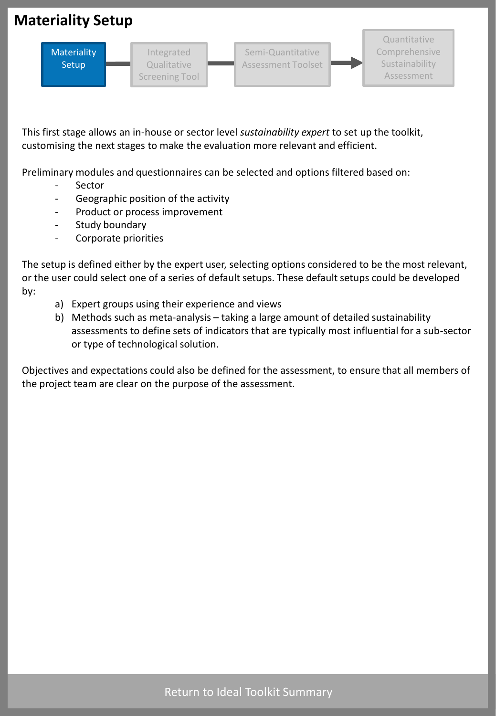# <span id="page-1-0"></span>**Materiality Setup**



This first stage allows an in-house or sector level *sustainability expert* to set up the toolkit, customising the next stages to make the evaluation more relevant and efficient.

Preliminary modules and questionnaires can be selected and options filtered based on:

- **Sector**
- Geographic position of the activity
- Product or process improvement
- Study boundary
- Corporate priorities

The setup is defined either by the expert user, selecting options considered to be the most relevant, or the user could select one of a series of default setups. These default setups could be developed by:

- a) Expert groups using their experience and views
- b) Methods such as meta-analysis taking a large amount of detailed sustainability assessments to define sets of indicators that are typically most influential for a sub-sector or type of technological solution.

Objectives and expectations could also be defined for the assessment, to ensure that all members of the project team are clear on the purpose of the assessment.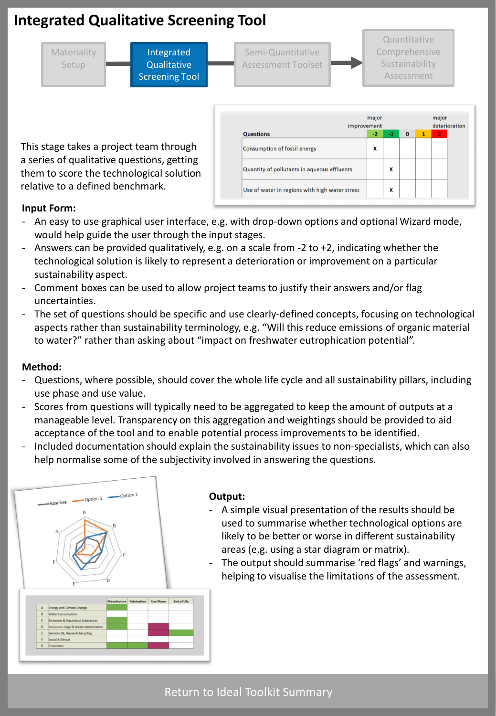# <span id="page-2-0"></span>**Integrated Qualitative Screening Tool**



This stage takes a project team through a series of qualitative questions, getting them to score the technological solution relative to a defined benchmark.

| improvement                                    | major |      |              | major<br>deterioration |                |  |
|------------------------------------------------|-------|------|--------------|------------------------|----------------|--|
| <b>Questions</b>                               | -2    | $-1$ | $\mathbf{0}$ | $\mathbf{1}$           | $\overline{2}$ |  |
| Consumption of fossil energy                   | X     |      |              |                        |                |  |
| Quantity of pollutants in aqueous effluents    |       | X    |              |                        |                |  |
| Use of water in regions with high water stress |       | X    |              |                        |                |  |

### **Input Form:**

- An easy to use graphical user interface, e.g. with drop-down options and optional Wizard mode, would help guide the user through the input stages.
- Answers can be provided qualitatively, e.g. on a scale from -2 to +2, indicating whether the technological solution is likely to represent a deterioration or improvement on a particular sustainability aspect.
- Comment boxes can be used to allow project teams to justify their answers and/or flag uncertainties.
- The set of questions should be specific and use clearly-defined concepts, focusing on technological aspects rather than sustainability terminology, e.g. "Will this reduce emissions of organic material to water?" rather than asking about "impact on freshwater eutrophication potential".

#### **Method:**

- Questions, where possible, should cover the whole life cycle and all sustainability pillars, including use phase and use value.
- Scores from questions will typically need to be aggregated to keep the amount of outputs at a manageable level. Transparency on this aggregation and weightings should be provided to aid acceptance of the tool and to enable potential process improvements to be identified.
- Included documentation should explain the sustainability issues to non-specialists, which can also help normalise some of the subjectivity involved in answering the questions.



#### **Output:**

- A simple visual presentation of the results should be used to summarise whether technological options are likely to be better or worse in different sustainability areas (e.g. using a star diagram or matrix).
- The output should summarise 'red flags' and warnings, helping to visualise the limitations of the assessment.

### [Return to Ideal Toolkit Summary](#page-0-0)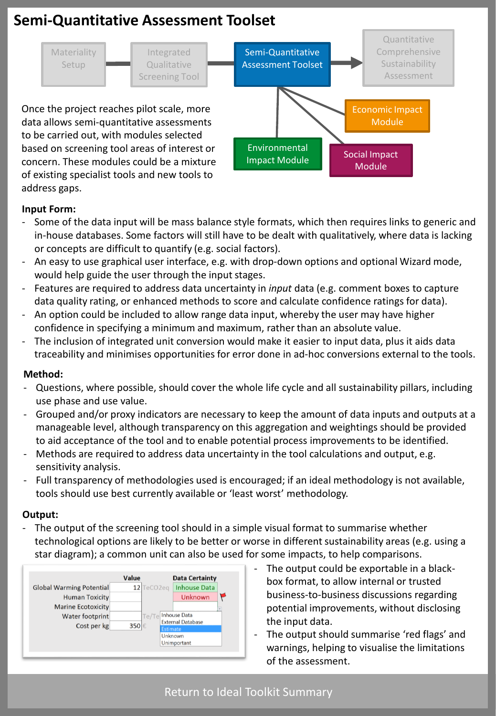# <span id="page-3-0"></span>**Semi-Quantitative Assessment Toolset**



### **Input Form:**

- Some of the data input will be mass balance style formats, which then requires links to generic and in-house databases. Some factors will still have to be dealt with qualitatively, where data is lacking or concepts are difficult to quantify (e.g. social factors).
- An easy to use graphical user interface, e.g. with drop-down options and optional Wizard mode, would help guide the user through the input stages.
- Features are required to address data uncertainty in *input* data (e.g. comment boxes to capture data quality rating, or enhanced methods to score and calculate confidence ratings for data).
- An option could be included to allow range data input, whereby the user may have higher confidence in specifying a minimum and maximum, rather than an absolute value.
- The inclusion of integrated unit conversion would make it easier to input data, plus it aids data traceability and minimises opportunities for error done in ad-hoc conversions external to the tools.

#### **Method:**

- Questions, where possible, should cover the whole life cycle and all sustainability pillars, including use phase and use value.
- Grouped and/or proxy indicators are necessary to keep the amount of data inputs and outputs at a manageable level, although transparency on this aggregation and weightings should be provided to aid acceptance of the tool and to enable potential process improvements to be identified.
- Methods are required to address data uncertainty in the tool calculations and output, e.g. sensitivity analysis.
- Full transparency of methodologies used is encouraged; if an ideal methodology is not available, tools should use best currently available or 'least worst' methodology.

### **Output:**

- The output of the screening tool should in a simple visual format to summarise whether technological options are likely to be better or worse in different sustainability areas (e.g. using a star diagram); a common unit can also be used for some impacts, to help comparisons.



- The output could be exportable in a blackbox format, to allow internal or trusted business-to-business discussions regarding potential improvements, without disclosing the input data.
- The output should summarise 'red flags' and warnings, helping to visualise the limitations of the assessment.